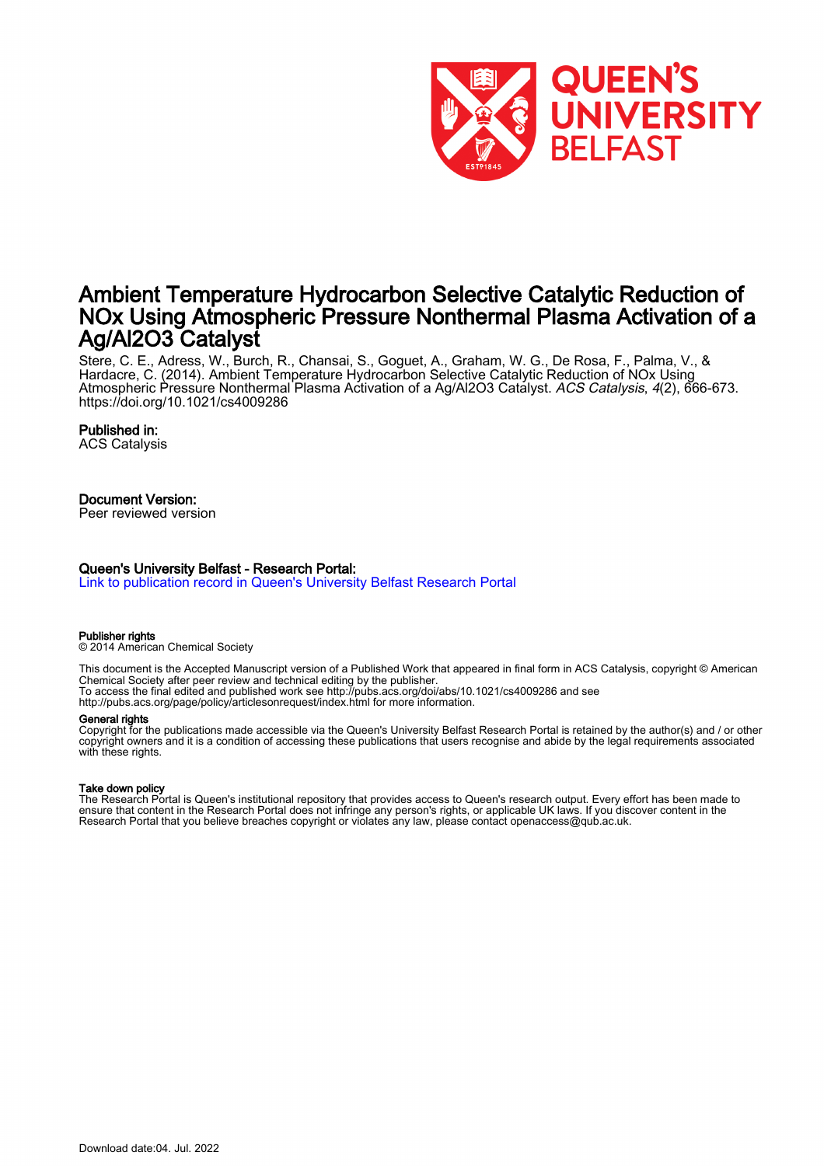

# Ambient Temperature Hydrocarbon Selective Catalytic Reduction of NOx Using Atmospheric Pressure Nonthermal Plasma Activation of a Ag/Al2O3 Catalyst

Stere, C. E., Adress, W., Burch, R., Chansai, S., Goguet, A., Graham, W. G., De Rosa, F., Palma, V., & Hardacre, C. (2014). Ambient Temperature Hydrocarbon Selective Catalytic Reduction of NOx Using Atmospheric Pressure Nonthermal Plasma Activation of a Ag/Al2O3 Catalyst. ACS Catalysis, 4(2), 666-673. <https://doi.org/10.1021/cs4009286>

#### Published in:

ACS Catalysis

### Document Version:

Peer reviewed version

#### Queen's University Belfast - Research Portal:

[Link to publication record in Queen's University Belfast Research Portal](https://pure.qub.ac.uk/en/publications/f9b918f8-6a40-46fa-b0fb-81e2e19e4327)

#### Publisher rights

© 2014 American Chemical Society

This document is the Accepted Manuscript version of a Published Work that appeared in final form in ACS Catalysis, copyright © American Chemical Society after peer review and technical editing by the publisher. To access the final edited and published work see http://pubs.acs.org/doi/abs/10.1021/cs4009286 and see

http://pubs.acs.org/page/policy/articlesonrequest/index.html for more information.

#### General rights

Copyright for the publications made accessible via the Queen's University Belfast Research Portal is retained by the author(s) and / or other copyright owners and it is a condition of accessing these publications that users recognise and abide by the legal requirements associated with these rights.

#### Take down policy

The Research Portal is Queen's institutional repository that provides access to Queen's research output. Every effort has been made to ensure that content in the Research Portal does not infringe any person's rights, or applicable UK laws. If you discover content in the Research Portal that you believe breaches copyright or violates any law, please contact openaccess@qub.ac.uk.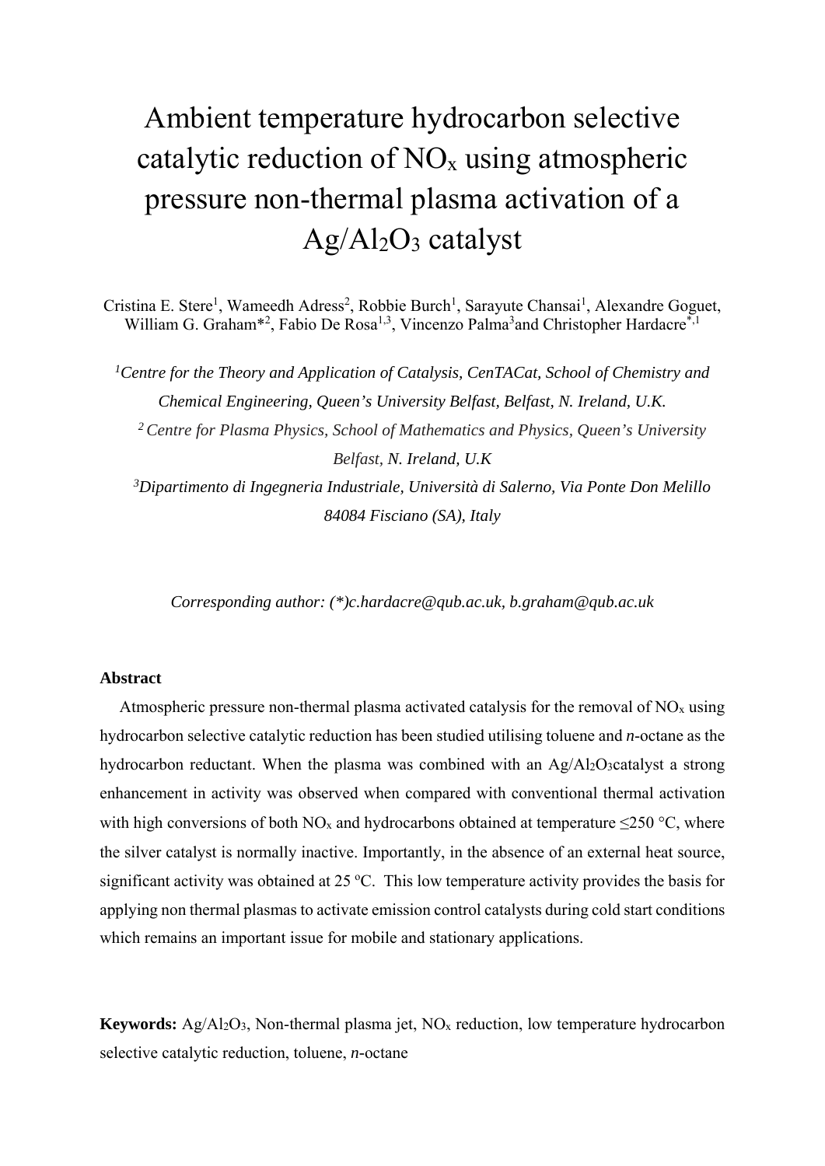# Ambient temperature hydrocarbon selective catalytic reduction of  $NO<sub>x</sub>$  using atmospheric pressure non-thermal plasma activation of a Ag/Al2O3 catalyst

Cristina E. Stere<sup>1</sup>, Wameedh Adress<sup>2</sup>, Robbie Burch<sup>1</sup>, Sarayute Chansai<sup>1</sup>, Alexandre Goguet, William G. Graham<sup>\*2</sup>, Fabio De Rosa<sup>1,3</sup>, Vincenzo Palma<sup>3</sup>and Christopher Hardacre<sup>\*,1</sup>

<sup>1</sup> Centre for the Theory and Application of Catalysis, CenTACat, School of Chemistry and *Chemical Engineering, Queen's University Belfast, Belfast, N. Ireland, U.K. 2 Centre for Plasma Physics, School of Mathematics and Physics, Queen's University Belfast, N. Ireland, U.K 3Dipartimento di Ingegneria Industriale, Università di Salerno, Via Ponte Don Melillo 84084 Fisciano (SA), Italy* 

*Corresponding author: (\*)c.hardacre@qub.ac.uk, b.graham@qub.ac.uk* 

## **Abstract**

Atmospheric pressure non-thermal plasma activated catalysis for the removal of  $NO<sub>x</sub>$  using hydrocarbon selective catalytic reduction has been studied utilising toluene and *n*-octane as the hydrocarbon reductant. When the plasma was combined with an Ag/Al2O3catalyst a strong enhancement in activity was observed when compared with conventional thermal activation with high conversions of both NO<sub>x</sub> and hydrocarbons obtained at temperature  $\leq$ 250 °C, where the silver catalyst is normally inactive. Importantly, in the absence of an external heat source, significant activity was obtained at 25 °C. This low temperature activity provides the basis for applying non thermal plasmas to activate emission control catalysts during cold start conditions which remains an important issue for mobile and stationary applications.

**Keywords:** Ag/Al<sub>2</sub>O<sub>3</sub>, Non-thermal plasma jet, NO<sub>x</sub> reduction, low temperature hydrocarbon selective catalytic reduction, toluene, *n-*octane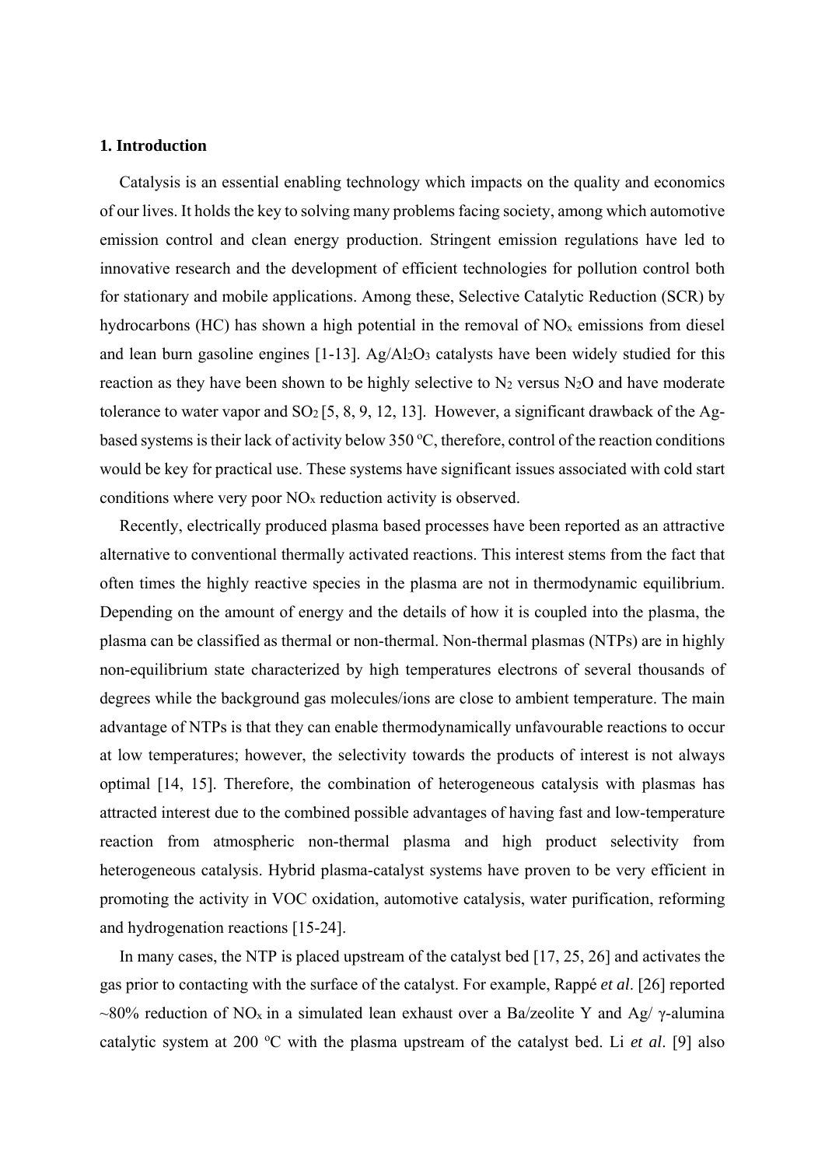## **1. Introduction**

Catalysis is an essential enabling technology which impacts on the quality and economics of our lives. It holds the key to solving many problems facing society, among which automotive emission control and clean energy production. Stringent emission regulations have led to innovative research and the development of efficient technologies for pollution control both for stationary and mobile applications. Among these, Selective Catalytic Reduction (SCR) by hydrocarbons (HC) has shown a high potential in the removal of  $NO<sub>x</sub>$  emissions from diesel and lean burn gasoline engines  $[1-13]$ . Ag/Al<sub>2</sub>O<sub>3</sub> catalysts have been widely studied for this reaction as they have been shown to be highly selective to  $N_2$  versus  $N_2O$  and have moderate tolerance to water vapor and  $SO_2$  [5, 8, 9, 12, 13]. However, a significant drawback of the Agbased systems is their lack of activity below 350 °C, therefore, control of the reaction conditions would be key for practical use. These systems have significant issues associated with cold start conditions where very poor NOx reduction activity is observed.

Recently, electrically produced plasma based processes have been reported as an attractive alternative to conventional thermally activated reactions. This interest stems from the fact that often times the highly reactive species in the plasma are not in thermodynamic equilibrium. Depending on the amount of energy and the details of how it is coupled into the plasma, the plasma can be classified as thermal or non-thermal. Non-thermal plasmas (NTPs) are in highly non-equilibrium state characterized by high temperatures electrons of several thousands of degrees while the background gas molecules/ions are close to ambient temperature. The main advantage of NTPs is that they can enable thermodynamically unfavourable reactions to occur at low temperatures; however, the selectivity towards the products of interest is not always optimal [14, 15]. Therefore, the combination of heterogeneous catalysis with plasmas has attracted interest due to the combined possible advantages of having fast and low-temperature reaction from atmospheric non-thermal plasma and high product selectivity from heterogeneous catalysis. Hybrid plasma-catalyst systems have proven to be very efficient in promoting the activity in VOC oxidation, automotive catalysis, water purification, reforming and hydrogenation reactions [15-24].

 In many cases, the NTP is placed upstream of the catalyst bed [17, 25, 26] and activates the gas prior to contacting with the surface of the catalyst. For example, Rappé *et al*. [26] reported ~80% reduction of NO<sub>x</sub> in a simulated lean exhaust over a Ba/zeolite Y and Ag/  $\gamma$ -alumina catalytic system at 200 °C with the plasma upstream of the catalyst bed. Li *et al.* [9] also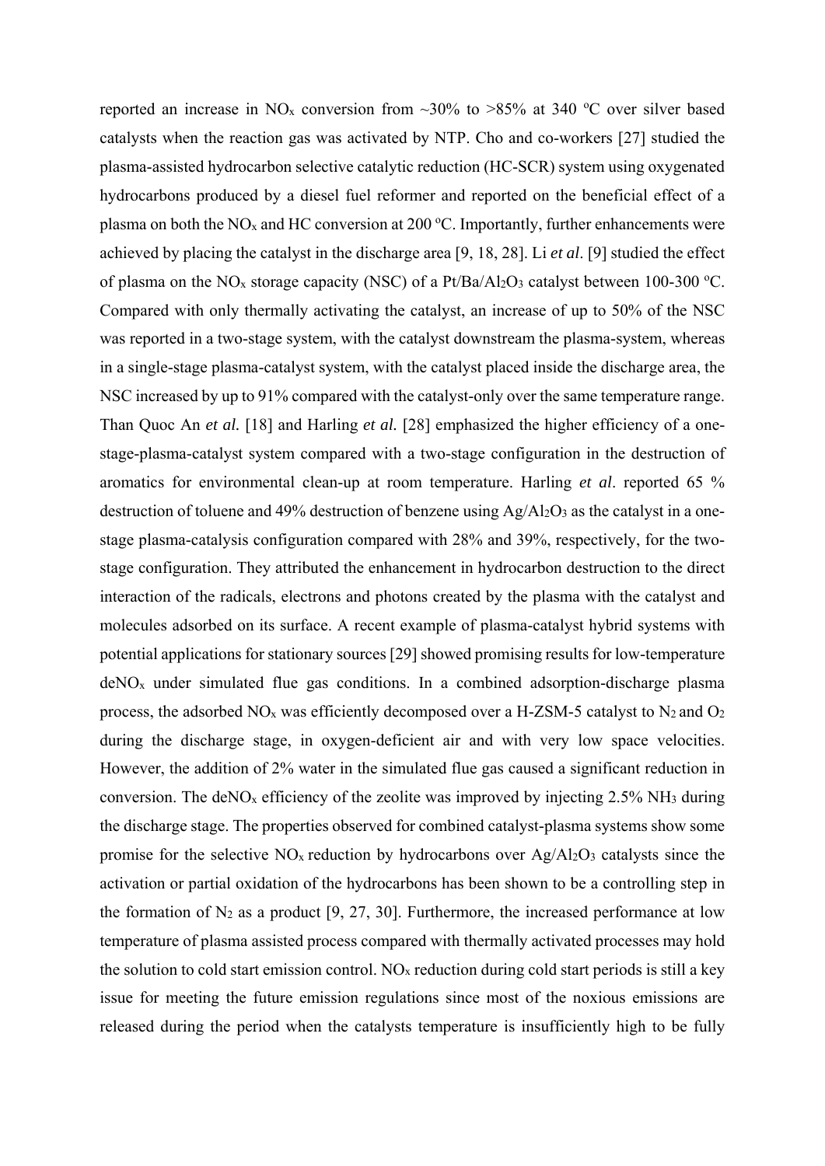reported an increase in NO<sub>x</sub> conversion from  $\sim$ 30% to >85% at 340 °C over silver based catalysts when the reaction gas was activated by NTP. Cho and co-workers [27] studied the plasma-assisted hydrocarbon selective catalytic reduction (HC-SCR) system using oxygenated hydrocarbons produced by a diesel fuel reformer and reported on the beneficial effect of a plasma on both the NO<sub>x</sub> and HC conversion at 200 °C. Importantly, further enhancements were achieved by placing the catalyst in the discharge area [9, 18, 28]. Li *et al*. [9] studied the effect of plasma on the NO<sub>x</sub> storage capacity (NSC) of a Pt/Ba/Al<sub>2</sub>O<sub>3</sub> catalyst between 100-300 °C. Compared with only thermally activating the catalyst, an increase of up to 50% of the NSC was reported in a two-stage system, with the catalyst downstream the plasma-system, whereas in a single-stage plasma-catalyst system, with the catalyst placed inside the discharge area, the NSC increased by up to 91% compared with the catalyst-only over the same temperature range. Than Quoc An *et al.* [18] and Harling *et al.* [28] emphasized the higher efficiency of a onestage-plasma-catalyst system compared with a two-stage configuration in the destruction of aromatics for environmental clean-up at room temperature. Harling *et al*. reported 65 % destruction of toluene and 49% destruction of benzene using Ag/Al<sub>2</sub>O<sub>3</sub> as the catalyst in a onestage plasma-catalysis configuration compared with 28% and 39%, respectively, for the twostage configuration. They attributed the enhancement in hydrocarbon destruction to the direct interaction of the radicals, electrons and photons created by the plasma with the catalyst and molecules adsorbed on its surface. A recent example of plasma-catalyst hybrid systems with potential applications for stationary sources [29] showed promising results for low-temperature deNOx under simulated flue gas conditions. In a combined adsorption-discharge plasma process, the adsorbed  $NO<sub>x</sub>$  was efficiently decomposed over a H-ZSM-5 catalyst to  $N<sub>2</sub>$  and  $O<sub>2</sub>$ during the discharge stage, in oxygen-deficient air and with very low space velocities. However, the addition of 2% water in the simulated flue gas caused a significant reduction in conversion. The deNO<sub>x</sub> efficiency of the zeolite was improved by injecting  $2.5\%$  NH<sub>3</sub> during the discharge stage. The properties observed for combined catalyst-plasma systems show some promise for the selective  $NO<sub>x</sub>$  reduction by hydrocarbons over Ag/Al<sub>2</sub>O<sub>3</sub> catalysts since the activation or partial oxidation of the hydrocarbons has been shown to be a controlling step in the formation of  $N_2$  as a product [9, 27, 30]. Furthermore, the increased performance at low temperature of plasma assisted process compared with thermally activated processes may hold the solution to cold start emission control.  $NO<sub>x</sub>$  reduction during cold start periods is still a key issue for meeting the future emission regulations since most of the noxious emissions are released during the period when the catalysts temperature is insufficiently high to be fully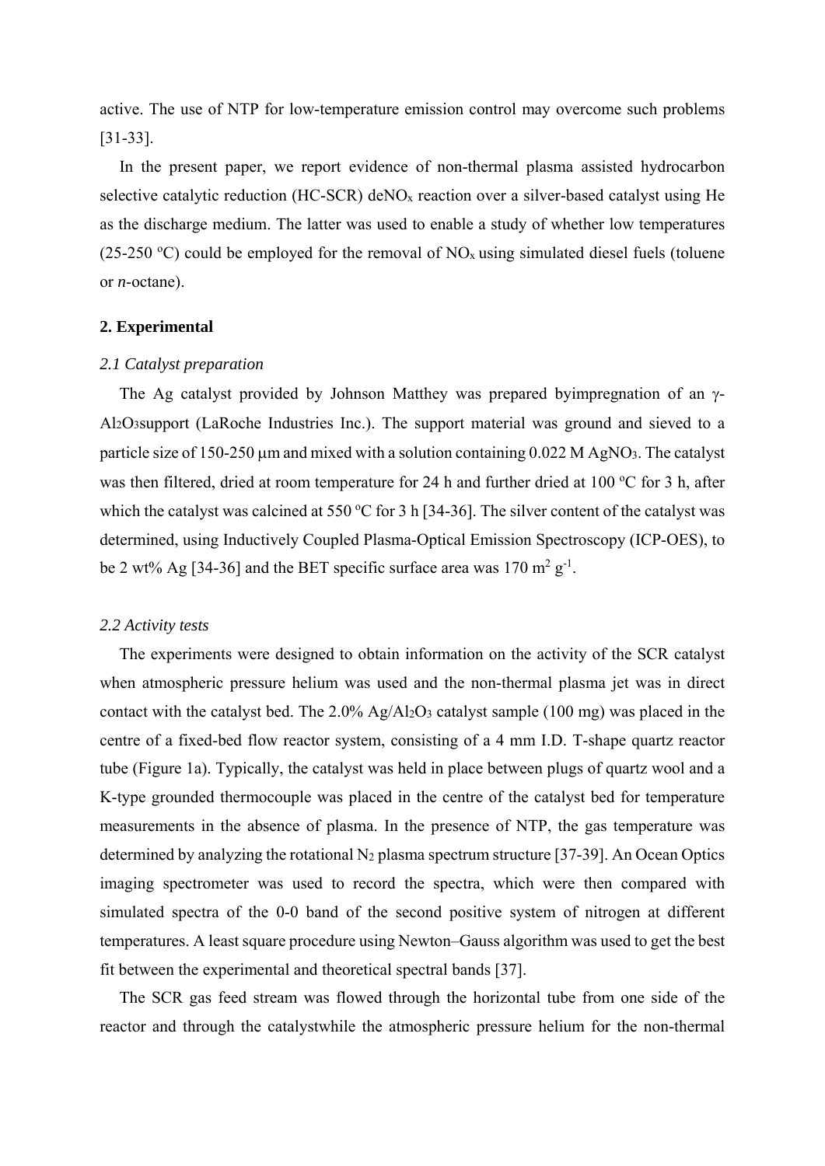active. The use of NTP for low-temperature emission control may overcome such problems [31-33].

In the present paper, we report evidence of non-thermal plasma assisted hydrocarbon selective catalytic reduction (HC-SCR) deNOx reaction over a silver-based catalyst using He as the discharge medium. The latter was used to enable a study of whether low temperatures (25-250 °C) could be employed for the removal of  $NO<sub>x</sub>$  using simulated diesel fuels (toluene or *n*-octane).

## **2. Experimental**

#### *2.1 Catalyst preparation*

The Ag catalyst provided by Johnson Matthey was prepared by impregnation of an  $\gamma$ -Al2O3support (LaRoche Industries Inc.). The support material was ground and sieved to a particle size of 150-250  $\mu$ m and mixed with a solution containing 0.022 M AgNO<sub>3</sub>. The catalyst was then filtered, dried at room temperature for 24 h and further dried at 100 °C for 3 h, after which the catalyst was calcined at 550 °C for 3 h [34-36]. The silver content of the catalyst was determined, using Inductively Coupled Plasma-Optical Emission Spectroscopy (ICP-OES), to be 2 wt% Ag [34-36] and the BET specific surface area was  $170 \text{ m}^2 \text{ g}^{-1}$ .

#### *2.2 Activity tests*

The experiments were designed to obtain information on the activity of the SCR catalyst when atmospheric pressure helium was used and the non-thermal plasma jet was in direct contact with the catalyst bed. The 2.0% Ag/Al2O3 catalyst sample (100 mg) was placed in the centre of a fixed-bed flow reactor system, consisting of a 4 mm I.D. T-shape quartz reactor tube (Figure 1a). Typically, the catalyst was held in place between plugs of quartz wool and a K-type grounded thermocouple was placed in the centre of the catalyst bed for temperature measurements in the absence of plasma. In the presence of NTP, the gas temperature was determined by analyzing the rotational  $N_2$  plasma spectrum structure [37-39]. An Ocean Optics imaging spectrometer was used to record the spectra, which were then compared with simulated spectra of the 0-0 band of the second positive system of nitrogen at different temperatures. A least square procedure using Newton–Gauss algorithm was used to get the best fit between the experimental and theoretical spectral bands [37].

The SCR gas feed stream was flowed through the horizontal tube from one side of the reactor and through the catalystwhile the atmospheric pressure helium for the non-thermal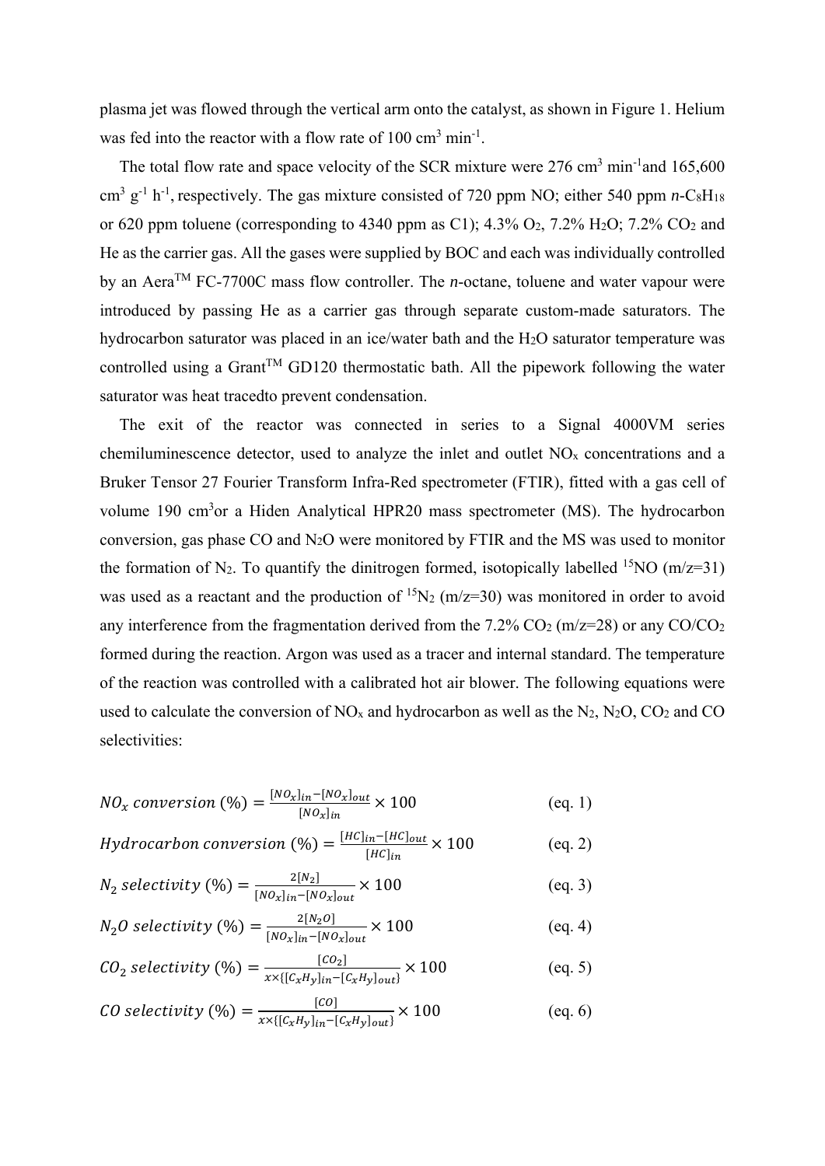plasma jet was flowed through the vertical arm onto the catalyst, as shown in Figure 1. Helium was fed into the reactor with a flow rate of  $100 \text{ cm}^3 \text{ min}^{-1}$ .

The total flow rate and space velocity of the SCR mixture were  $276 \text{ cm}^3 \text{ min}^{-1}$  and  $165,600$ cm<sup>3</sup> g<sup>-1</sup> h<sup>-1</sup>, respectively. The gas mixture consisted of 720 ppm NO; either 540 ppm *n*-C<sub>8</sub>H<sub>18</sub> or 620 ppm toluene (corresponding to 4340 ppm as C1);  $4.3\%$  O<sub>2</sub>,  $7.2\%$  H<sub>2</sub>O;  $7.2\%$  CO<sub>2</sub> and He as the carrier gas. All the gases were supplied by BOC and each was individually controlled by an Aera<sup>TM</sup> FC-7700C mass flow controller. The *n*-octane, toluene and water vapour were introduced by passing He as a carrier gas through separate custom-made saturators. The hydrocarbon saturator was placed in an ice/water bath and the H2O saturator temperature was controlled using a Grant<sup>TM</sup> GD120 thermostatic bath. All the pipework following the water saturator was heat tracedto prevent condensation.

The exit of the reactor was connected in series to a Signal 4000VM series chemiluminescence detector, used to analyze the inlet and outlet NOx concentrations and a Bruker Tensor 27 Fourier Transform Infra-Red spectrometer (FTIR), fitted with a gas cell of volume 190 cm<sup>3</sup>or a Hiden Analytical HPR20 mass spectrometer (MS). The hydrocarbon conversion, gas phase CO and N2O were monitored by FTIR and the MS was used to monitor the formation of N<sub>2</sub>. To quantify the dinitrogen formed, isotopically labelled <sup>15</sup>NO (m/z=31) was used as a reactant and the production of  ${}^{15}N_2$  (m/z=30) was monitored in order to avoid any interference from the fragmentation derived from the  $7.2\%$  CO<sub>2</sub> (m/z=28) or any CO/CO<sub>2</sub> formed during the reaction. Argon was used as a tracer and internal standard. The temperature of the reaction was controlled with a calibrated hot air blower. The following equations were used to calculate the conversion of  $NO<sub>x</sub>$  and hydrocarbon as well as the  $N_2$ ,  $N_2O$ ,  $CO_2$  and  $CO$ selectivities:

$$
NO_x \text{ conversion } (\%) = \frac{[NO_x]_{in} - [NO_x]_{out}}{[NO_x]_{in}} \times 100
$$
 (eq. 1)

$$
Hydrocarbon \, conversion \, (\%) = \frac{[HC]_{in} - [HC]_{out}}{[HC]_{in}} \times 100 \tag{eq. 2}
$$

$$
N_2 \; selectivity \; (\%) = \frac{2[N_2]}{[No_x]_{in} - [No_x]_{out}} \times 100 \tag{eq. 3}
$$

$$
N_2O \ selectivity \ (\%) = \frac{2[N_2O]}{[NO_x]_{in} - [NO_x]_{out}} \times 100 \tag{eq. 4}
$$

$$
CO_2 selectivity \ (\%) = \frac{[CO_2]}{x \times \{[C_x H_y]_{in} - [C_x H_y]_{out}\}} \times 100 \tag{eq. 5}
$$

$$
CO selectivity \text{ } (\%) = \frac{[co]}{x \times \{[c_x H_y]_{in} - [c_x H_y]_{out}\}} \times 100 \tag{eq. 6}
$$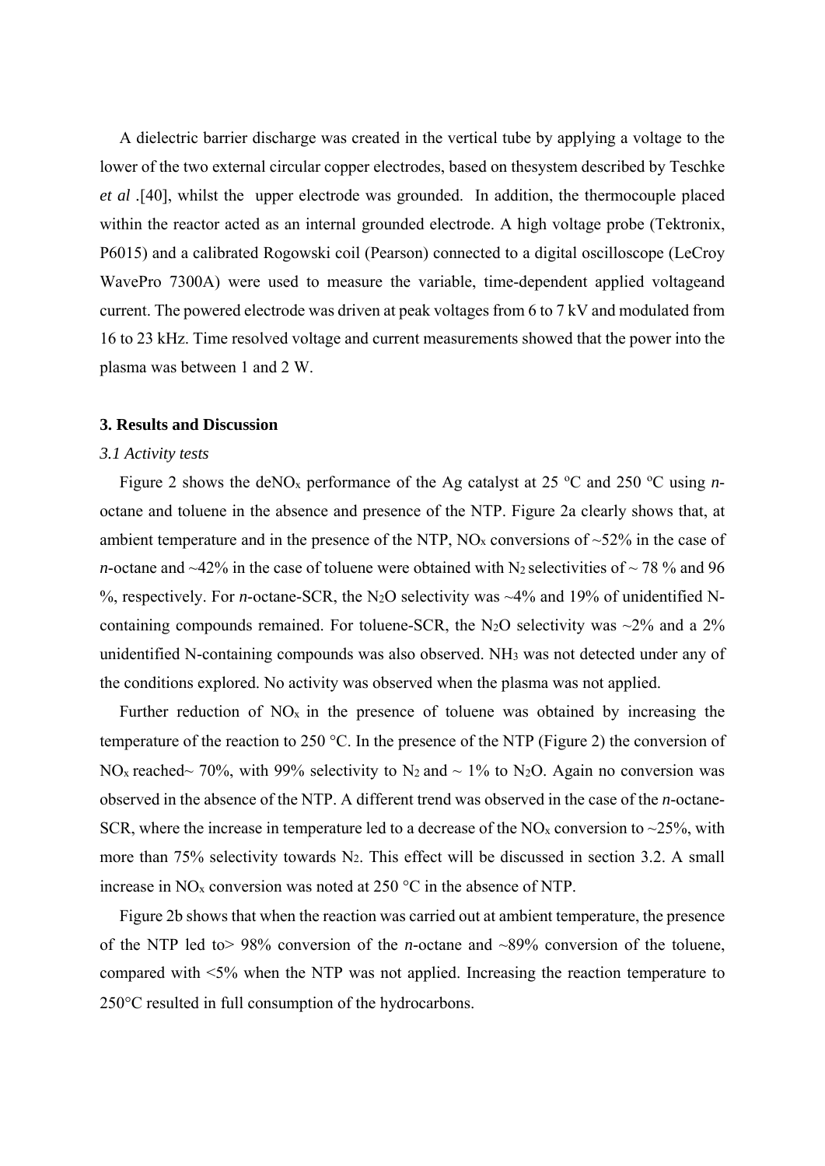A dielectric barrier discharge was created in the vertical tube by applying a voltage to the lower of the two external circular copper electrodes, based on thesystem described by Teschke *et al .*[40], whilst the upper electrode was grounded. In addition, the thermocouple placed within the reactor acted as an internal grounded electrode. A high voltage probe (Tektronix, P6015) and a calibrated Rogowski coil (Pearson) connected to a digital oscilloscope (LeCroy WavePro 7300A) were used to measure the variable, time-dependent applied voltageand current. The powered electrode was driven at peak voltages from 6 to 7 kV and modulated from 16 to 23 kHz. Time resolved voltage and current measurements showed that the power into the plasma was between 1 and 2 W.

## **3. Results and Discussion**

#### *3.1 Activity tests*

Figure 2 shows the deNO<sub>x</sub> performance of the Ag catalyst at 25 °C and 250 °C using *n*octane and toluene in the absence and presence of the NTP. Figure 2a clearly shows that, at ambient temperature and in the presence of the NTP,  $NO<sub>x</sub>$  conversions of  $\sim$ 52% in the case of *n*-octane and  $\sim$ 42% in the case of toluene were obtained with N<sub>2</sub> selectivities of  $\sim$  78 % and 96 %, respectively. For *n*-octane-SCR, the N<sub>2</sub>O selectivity was ~4% and 19% of unidentified Ncontaining compounds remained. For toluene-SCR, the N<sub>2</sub>O selectivity was  $\sim$ 2% and a 2% unidentified N-containing compounds was also observed. NH3 was not detected under any of the conditions explored. No activity was observed when the plasma was not applied.

Further reduction of  $NO<sub>x</sub>$  in the presence of toluene was obtained by increasing the temperature of the reaction to 250 °C. In the presence of the NTP (Figure 2) the conversion of NO<sub>x</sub> reached~ 70%, with 99% selectivity to N<sub>2</sub> and ~ 1% to N<sub>2</sub>O. Again no conversion was observed in the absence of the NTP. A different trend was observed in the case of the *n*-octane-SCR, where the increase in temperature led to a decrease of the  $NO<sub>x</sub>$  conversion to  $\sim$ 25%, with more than 75% selectivity towards  $N_2$ . This effect will be discussed in section 3.2. A small increase in  $NO<sub>x</sub>$  conversion was noted at 250 °C in the absence of NTP.

Figure 2b shows that when the reaction was carried out at ambient temperature, the presence of the NTP led to> 98% conversion of the *n*-octane and ~89% conversion of the toluene, compared with <5% when the NTP was not applied. Increasing the reaction temperature to 250°C resulted in full consumption of the hydrocarbons.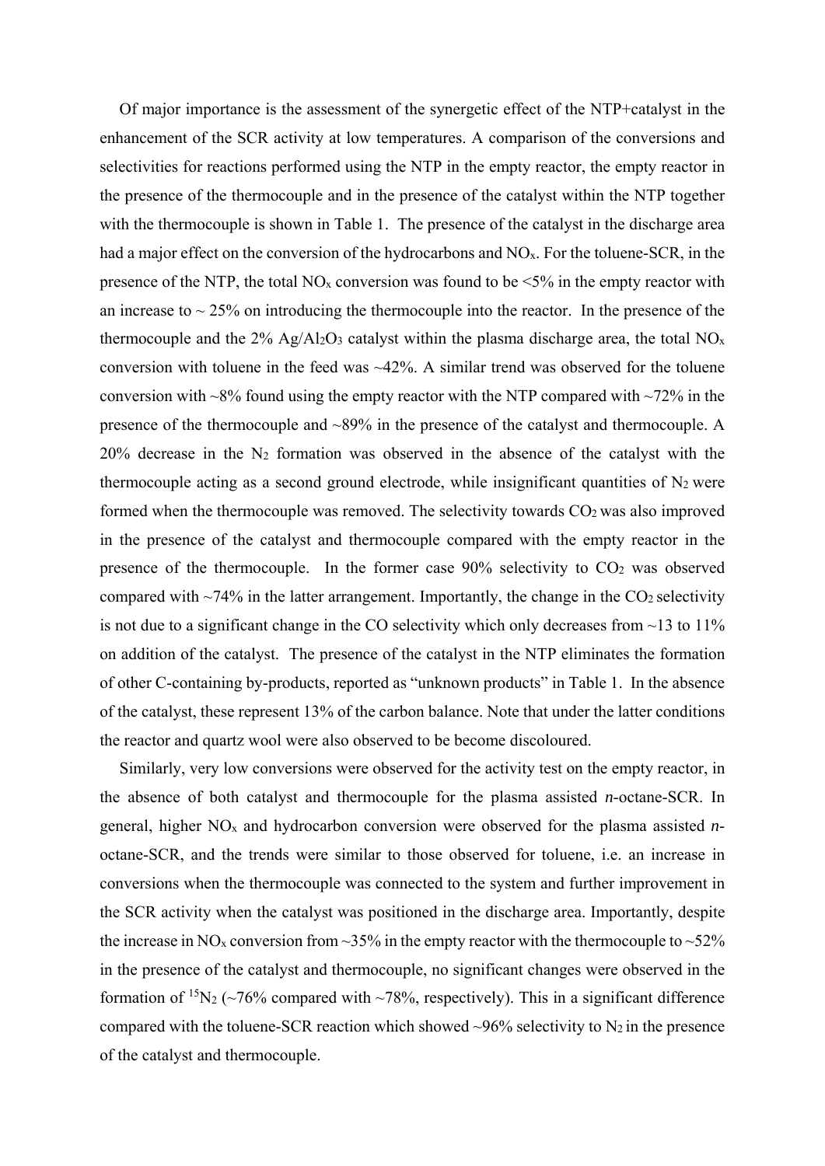Of major importance is the assessment of the synergetic effect of the NTP+catalyst in the enhancement of the SCR activity at low temperatures. A comparison of the conversions and selectivities for reactions performed using the NTP in the empty reactor, the empty reactor in the presence of the thermocouple and in the presence of the catalyst within the NTP together with the thermocouple is shown in Table 1. The presence of the catalyst in the discharge area had a major effect on the conversion of the hydrocarbons and NO<sub>x</sub>. For the toluene-SCR, in the presence of the NTP, the total NO<sub>x</sub> conversion was found to be  $\leq 5\%$  in the empty reactor with an increase to  $\sim$  25% on introducing the thermocouple into the reactor. In the presence of the thermocouple and the  $2\%$  Ag/Al<sub>2</sub>O<sub>3</sub> catalyst within the plasma discharge area, the total NO<sub>x</sub> conversion with toluene in the feed was  $\sim$ 42%. A similar trend was observed for the toluene conversion with  $\sim8\%$  found using the empty reactor with the NTP compared with  $\sim72\%$  in the presence of the thermocouple and ~89% in the presence of the catalyst and thermocouple. A 20% decrease in the N2 formation was observed in the absence of the catalyst with the thermocouple acting as a second ground electrode, while insignificant quantities of  $N_2$  were formed when the thermocouple was removed. The selectivity towards CO2 was also improved in the presence of the catalyst and thermocouple compared with the empty reactor in the presence of the thermocouple. In the former case  $90\%$  selectivity to  $CO<sub>2</sub>$  was observed compared with  $\sim$ 74% in the latter arrangement. Importantly, the change in the CO<sub>2</sub> selectivity is not due to a significant change in the CO selectivity which only decreases from  $\sim$ 13 to 11% on addition of the catalyst. The presence of the catalyst in the NTP eliminates the formation of other C-containing by-products, reported as "unknown products" in Table 1. In the absence of the catalyst, these represent 13% of the carbon balance. Note that under the latter conditions the reactor and quartz wool were also observed to be become discoloured.

Similarly, very low conversions were observed for the activity test on the empty reactor, in the absence of both catalyst and thermocouple for the plasma assisted *n*-octane-SCR. In general, higher NOx and hydrocarbon conversion were observed for the plasma assisted *n*octane-SCR, and the trends were similar to those observed for toluene, i.e. an increase in conversions when the thermocouple was connected to the system and further improvement in the SCR activity when the catalyst was positioned in the discharge area. Importantly, despite the increase in NO<sub>x</sub> conversion from ~35% in the empty reactor with the thermocouple to ~52% in the presence of the catalyst and thermocouple, no significant changes were observed in the formation of <sup>15</sup>N<sub>2</sub> ( $\sim$ 76% compared with  $\sim$ 78%, respectively). This in a significant difference compared with the toluene-SCR reaction which showed  $\sim$ 96% selectivity to N<sub>2</sub> in the presence of the catalyst and thermocouple.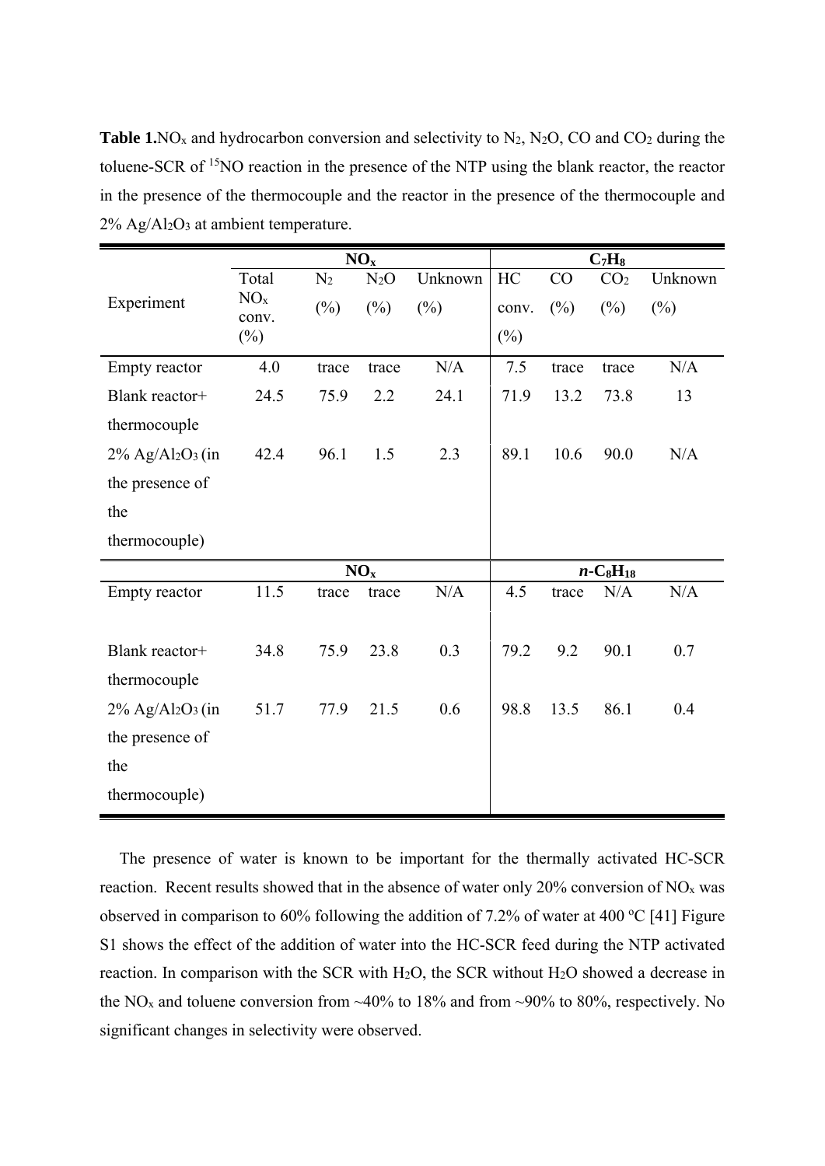**Table 1.**NO<sub>x</sub> and hydrocarbon conversion and selectivity to N<sub>2</sub>, N<sub>2</sub>O, CO and CO<sub>2</sub> during the toluene-SCR of 15NO reaction in the presence of the NTP using the blank reactor, the reactor in the presence of the thermocouple and the reactor in the presence of the thermocouple and  $2\%$  Ag/Al<sub>2</sub>O<sub>3</sub> at ambient temperature.

|                                             | NO <sub>x</sub>          |                |        |         | $C_7H_8$                            |        |                 |         |
|---------------------------------------------|--------------------------|----------------|--------|---------|-------------------------------------|--------|-----------------|---------|
|                                             | Total                    | N <sub>2</sub> | $N_2O$ | Unknown | HC                                  | CO     | CO <sub>2</sub> | Unknown |
| Experiment                                  | NO <sub>x</sub><br>conv. | $(\%)$         | $(\%)$ | $(\%)$  | conv.                               | $(\%)$ | $(\%)$          | $(\%)$  |
|                                             | $(\%)$                   |                |        |         | $(\%)$                              |        |                 |         |
| Empty reactor                               | 4.0                      | trace          | trace  | N/A     | 7.5                                 | trace  | trace           | N/A     |
| Blank reactor+                              | 24.5                     | 75.9           | 2.2    | 24.1    | 71.9                                | 13.2   | 73.8            | 13      |
| thermocouple                                |                          |                |        |         |                                     |        |                 |         |
| $2\%$ Ag/Al <sub>2</sub> O <sub>3</sub> (in | 42.4                     | 96.1           | 1.5    | 2.3     | 89.1                                | 10.6   | 90.0            | N/A     |
| the presence of                             |                          |                |        |         |                                     |        |                 |         |
| the                                         |                          |                |        |         |                                     |        |                 |         |
| thermocouple)                               |                          |                |        |         |                                     |        |                 |         |
|                                             | NO <sub>x</sub>          |                |        |         | $n$ -C <sub>8</sub> H <sub>18</sub> |        |                 |         |
| Empty reactor                               | 11.5                     | trace          | trace  | N/A     | 4.5                                 | trace  | N/A             | N/A     |
|                                             |                          |                |        |         |                                     |        |                 |         |
| Blank reactor+                              | 34.8                     | 75.9           | 23.8   | 0.3     | 79.2                                | 9.2    | 90.1            | 0.7     |
| thermocouple                                |                          |                |        |         |                                     |        |                 |         |
| $2\%$ Ag/Al <sub>2</sub> O <sub>3</sub> (in | 51.7                     | 77.9           | 21.5   | 0.6     | 98.8                                | 13.5   | 86.1            | 0.4     |
| the presence of                             |                          |                |        |         |                                     |        |                 |         |
| the                                         |                          |                |        |         |                                     |        |                 |         |
| thermocouple)                               |                          |                |        |         |                                     |        |                 |         |

The presence of water is known to be important for the thermally activated HC-SCR reaction. Recent results showed that in the absence of water only  $20\%$  conversion of NO<sub>x</sub> was observed in comparison to 60% following the addition of 7.2% of water at 400 °C [41] Figure S1 shows the effect of the addition of water into the HC-SCR feed during the NTP activated reaction. In comparison with the SCR with H2O, the SCR without H2O showed a decrease in the NO<sub>x</sub> and toluene conversion from ~40% to 18% and from ~90% to 80%, respectively. No significant changes in selectivity were observed.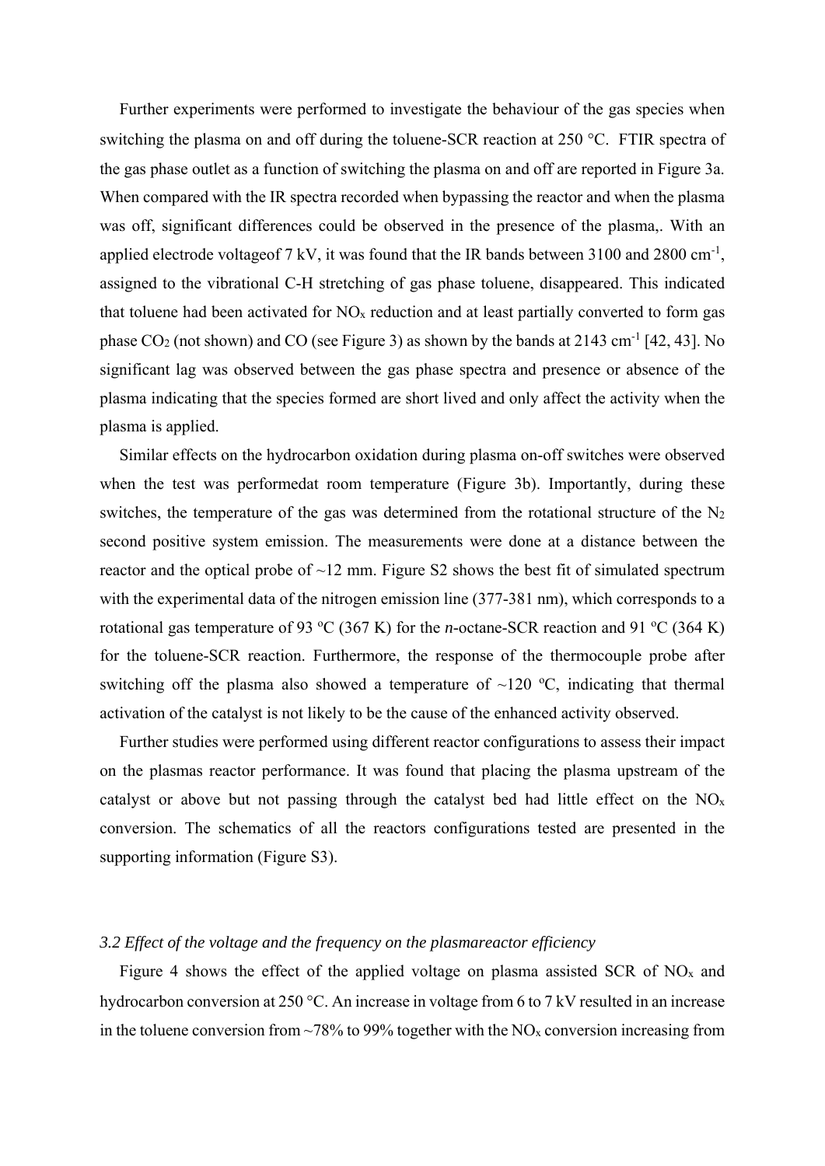Further experiments were performed to investigate the behaviour of the gas species when switching the plasma on and off during the toluene-SCR reaction at 250 °C. FTIR spectra of the gas phase outlet as a function of switching the plasma on and off are reported in Figure 3a. When compared with the IR spectra recorded when bypassing the reactor and when the plasma was off, significant differences could be observed in the presence of the plasma,. With an applied electrode voltageof 7 kV, it was found that the IR bands between 3100 and 2800 cm<sup>-1</sup>, assigned to the vibrational C-H stretching of gas phase toluene, disappeared. This indicated that toluene had been activated for  $NO<sub>x</sub>$  reduction and at least partially converted to form gas phase  $CO<sub>2</sub>$  (not shown) and  $CO$  (see Figure 3) as shown by the bands at 2143 cm<sup>-1</sup> [42, 43]. No significant lag was observed between the gas phase spectra and presence or absence of the plasma indicating that the species formed are short lived and only affect the activity when the plasma is applied.

Similar effects on the hydrocarbon oxidation during plasma on-off switches were observed when the test was performedat room temperature (Figure 3b). Importantly, during these switches, the temperature of the gas was determined from the rotational structure of the  $N_2$ second positive system emission. The measurements were done at a distance between the reactor and the optical probe of  $\sim$ 12 mm. Figure S2 shows the best fit of simulated spectrum with the experimental data of the nitrogen emission line (377-381 nm), which corresponds to a rotational gas temperature of 93 °C (367 K) for the *n*-octane-SCR reaction and 91 °C (364 K) for the toluene-SCR reaction. Furthermore, the response of the thermocouple probe after switching off the plasma also showed a temperature of  $\sim$ 120 °C, indicating that thermal activation of the catalyst is not likely to be the cause of the enhanced activity observed.

Further studies were performed using different reactor configurations to assess their impact on the plasmas reactor performance. It was found that placing the plasma upstream of the catalyst or above but not passing through the catalyst bed had little effect on the  $NO<sub>x</sub>$ conversion. The schematics of all the reactors configurations tested are presented in the supporting information (Figure S3).

## *3.2 Effect of the voltage and the frequency on the plasmareactor efficiency*

Figure 4 shows the effect of the applied voltage on plasma assisted SCR of  $NO<sub>x</sub>$  and hydrocarbon conversion at 250 °C. An increase in voltage from 6 to 7 kV resulted in an increase in the toluene conversion from  $\sim$ 78% to 99% together with the NO<sub>x</sub> conversion increasing from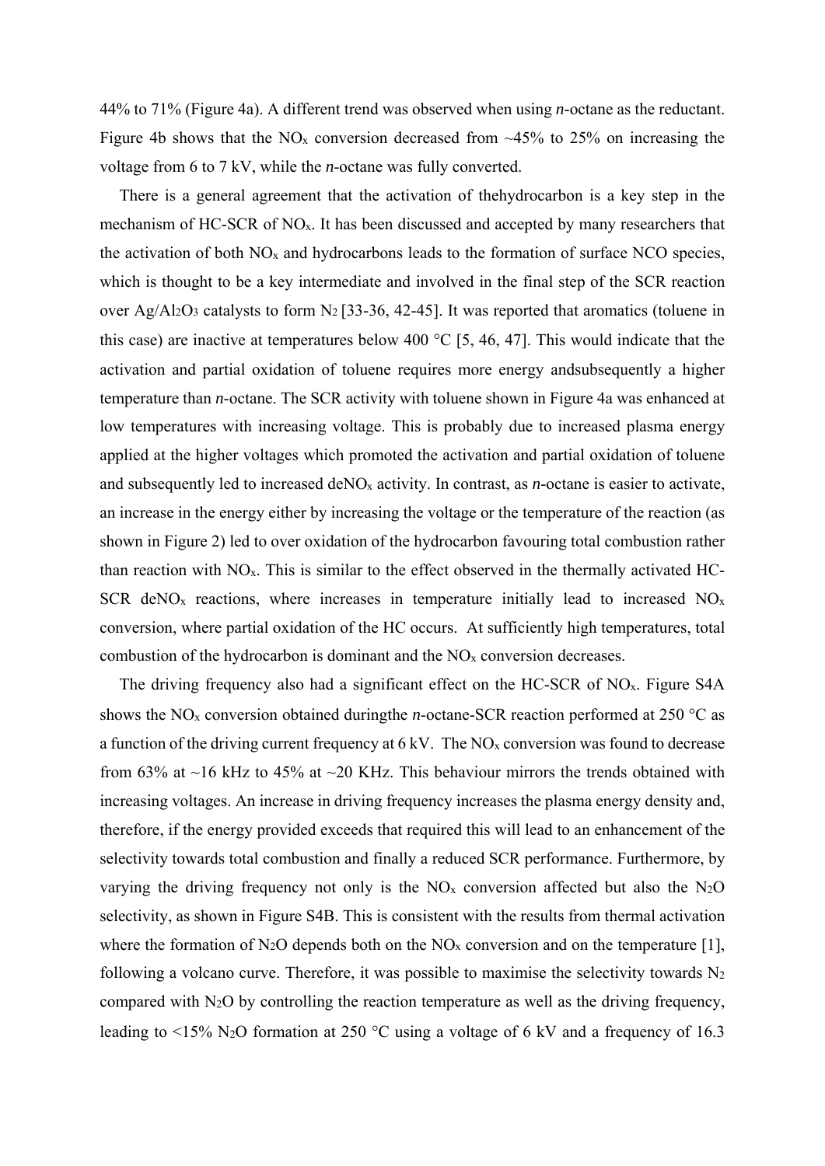44% to 71% (Figure 4a). A different trend was observed when using *n*-octane as the reductant. Figure 4b shows that the  $NO<sub>x</sub>$  conversion decreased from  $~45\%$  to 25% on increasing the voltage from 6 to 7 kV, while the *n*-octane was fully converted.

There is a general agreement that the activation of thehydrocarbon is a key step in the mechanism of HC-SCR of NO<sub>x</sub>. It has been discussed and accepted by many researchers that the activation of both  $NO<sub>x</sub>$  and hydrocarbons leads to the formation of surface NCO species, which is thought to be a key intermediate and involved in the final step of the SCR reaction over Ag/Al<sub>2</sub>O<sub>3</sub> catalysts to form N<sub>2</sub> [33-36, 42-45]. It was reported that aromatics (toluene in this case) are inactive at temperatures below 400  $\degree$ C [5, 46, 47]. This would indicate that the activation and partial oxidation of toluene requires more energy andsubsequently a higher temperature than *n*-octane. The SCR activity with toluene shown in Figure 4a was enhanced at low temperatures with increasing voltage. This is probably due to increased plasma energy applied at the higher voltages which promoted the activation and partial oxidation of toluene and subsequently led to increased deNOx activity. In contrast, as *n*-octane is easier to activate, an increase in the energy either by increasing the voltage or the temperature of the reaction (as shown in Figure 2) led to over oxidation of the hydrocarbon favouring total combustion rather than reaction with  $NO<sub>x</sub>$ . This is similar to the effect observed in the thermally activated HC-SCR deNO<sub>x</sub> reactions, where increases in temperature initially lead to increased  $NO<sub>x</sub>$ conversion, where partial oxidation of the HC occurs. At sufficiently high temperatures, total combustion of the hydrocarbon is dominant and the  $NO<sub>x</sub>$  conversion decreases.

The driving frequency also had a significant effect on the HC-SCR of NOx. Figure S4A shows the NO<sub>x</sub> conversion obtained duringthe *n*-octane-SCR reaction performed at 250  $\degree$ C as a function of the driving current frequency at  $6 \text{ kV}$ . The NO<sub>x</sub> conversion was found to decrease from 63% at ~16 kHz to 45% at ~20 KHz. This behaviour mirrors the trends obtained with increasing voltages. An increase in driving frequency increases the plasma energy density and, therefore, if the energy provided exceeds that required this will lead to an enhancement of the selectivity towards total combustion and finally a reduced SCR performance. Furthermore, by varying the driving frequency not only is the  $NO<sub>x</sub>$  conversion affected but also the N<sub>2</sub>O selectivity, as shown in Figure S4B. This is consistent with the results from thermal activation where the formation of N<sub>2</sub>O depends both on the NO<sub>x</sub> conversion and on the temperature [1], following a volcano curve. Therefore, it was possible to maximise the selectivity towards N2 compared with N2O by controlling the reaction temperature as well as the driving frequency, leading to  $\leq$ 15% N<sub>2</sub>O formation at 250 °C using a voltage of 6 kV and a frequency of 16.3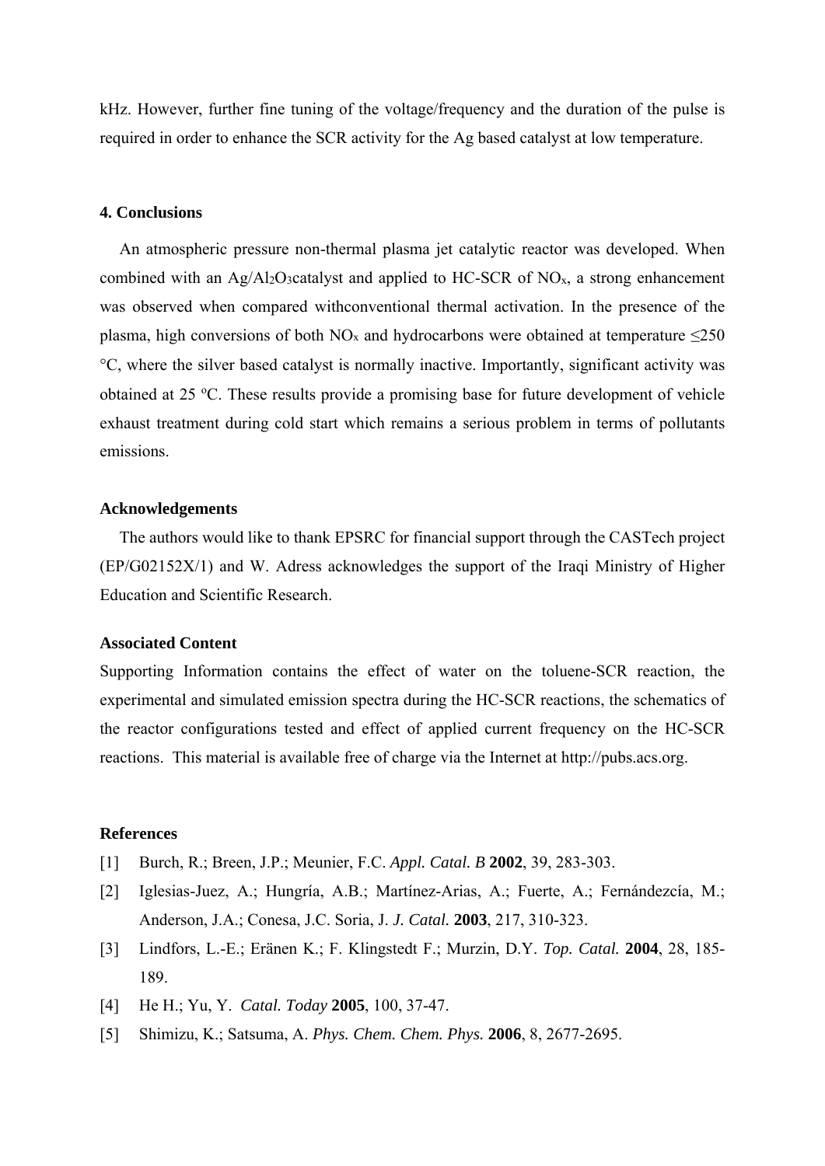kHz. However, further fine tuning of the voltage/frequency and the duration of the pulse is required in order to enhance the SCR activity for the Ag based catalyst at low temperature.

## **4. Conclusions**

An atmospheric pressure non-thermal plasma jet catalytic reactor was developed. When combined with an Ag/Al<sub>2</sub>O<sub>3</sub>catalyst and applied to HC-SCR of NO<sub>x</sub>, a strong enhancement was observed when compared withconventional thermal activation. In the presence of the plasma, high conversions of both NO<sub>x</sub> and hydrocarbons were obtained at temperature  $\leq$ 250 C, where the silver based catalyst is normally inactive. Importantly, significant activity was obtained at 25 °C. These results provide a promising base for future development of vehicle exhaust treatment during cold start which remains a serious problem in terms of pollutants emissions.

## **Acknowledgements**

The authors would like to thank EPSRC for financial support through the CASTech project (EP/G02152X/1) and W. Adress acknowledges the support of the Iraqi Ministry of Higher Education and Scientific Research.

## **Associated Content**

Supporting Information contains the effect of water on the toluene-SCR reaction, the experimental and simulated emission spectra during the HC-SCR reactions, the schematics of the reactor configurations tested and effect of applied current frequency on the HC-SCR reactions. This material is available free of charge via the Internet at http://pubs.acs.org.

## **References**

- [1] Burch, R.; Breen, J.P.; Meunier, F.C. *Appl. Catal. B* **2002**, 39, 283-303.
- [2] Iglesias-Juez, A.; Hungría, A.B.; Martínez-Arias, A.; Fuerte, A.; Fernándezcía, M.; Anderson, J.A.; Conesa, J.C. Soria, J. *J. Catal.* **2003**, 217, 310-323.
- [3] Lindfors, L.-E.; Eränen K.; F. Klingstedt F.; Murzin, D.Y. *Top. Catal.* **2004**, 28, 185- 189.
- [4] He H.; Yu, Y. *Catal. Today* **2005**, 100, 37-47.
- [5] Shimizu, K.; Satsuma, A. *Phys. Chem. Chem. Phys.* **2006**, 8, 2677-2695.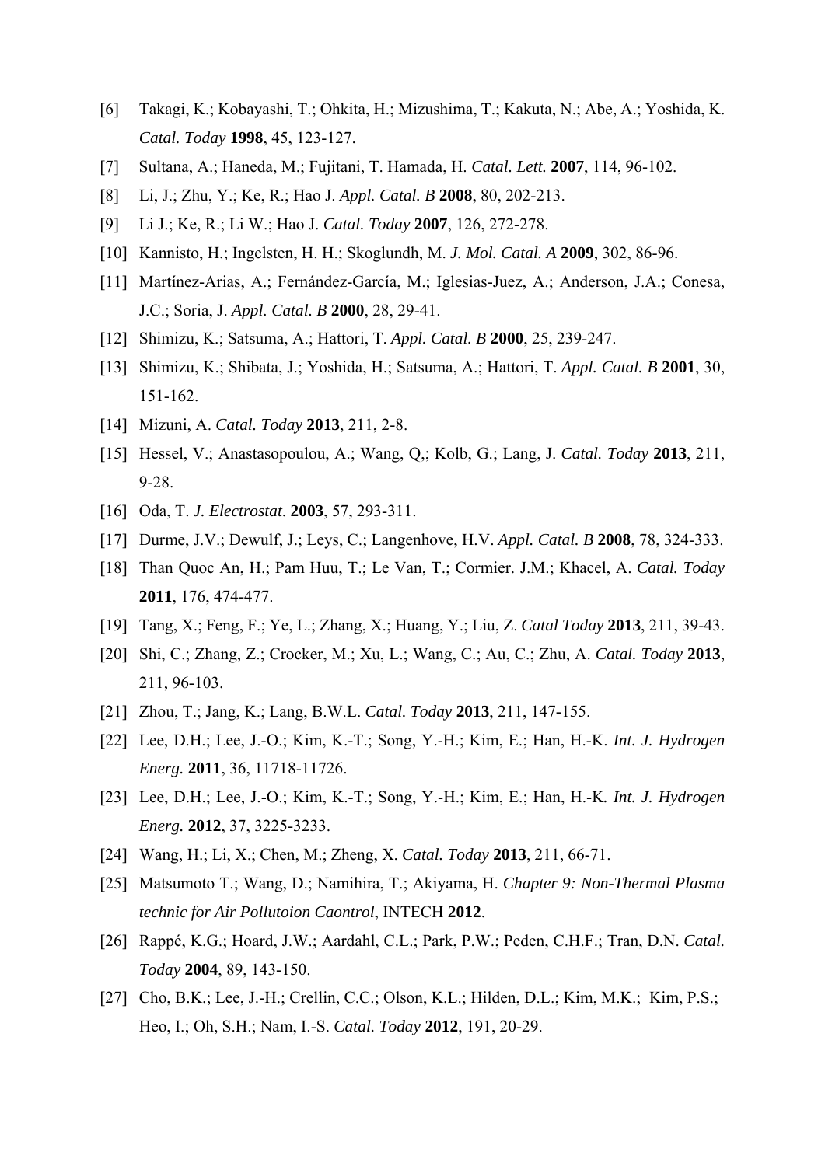- [6] Takagi, K.; Kobayashi, T.; Ohkita, H.; Mizushima, T.; Kakuta, N.; Abe, A.; Yoshida, K. *Catal. Today* **1998**, 45, 123-127.
- [7] Sultana, A.; Haneda, M.; Fujitani, T. Hamada, H. *Catal. Lett.* **2007**, 114, 96-102.
- [8] Li, J.; Zhu, Y.; Ke, R.; Hao J. *Appl. Catal. B* **2008**, 80, 202-213.
- [9] Li J.; Ke, R.; Li W.; Hao J. *Catal. Today* **2007**, 126, 272-278.
- [10] Kannisto, H.; Ingelsten, H. H.; Skoglundh, M. *J. Mol. Catal. A* **2009**, 302, 86-96.
- [11] Martínez-Arias, A.; Fernández-García, M.; Iglesias-Juez, A.; Anderson, J.A.; Conesa, J.C.; Soria, J. *Appl. Catal. B* **2000**, 28, 29-41.
- [12] Shimizu, K.; Satsuma, A.; Hattori, T. *Appl. Catal. B* **2000**, 25, 239-247.
- [13] Shimizu, K.; Shibata, J.; Yoshida, H.; Satsuma, A.; Hattori, T. *Appl. Catal. B* **2001**, 30, 151-162.
- [14] Mizuni, A. *Catal. Today* **2013**, 211, 2-8.
- [15] Hessel, V.; Anastasopoulou, A.; Wang, Q,; Kolb, G.; Lang, J. *Catal. Today* **2013**, 211, 9-28.
- [16] Oda, T. *J. Electrostat*. **2003**, 57, 293-311.
- [17] Durme, J.V.; Dewulf, J.; Leys, C.; Langenhove, H.V. *Appl. Catal. B* **2008**, 78, 324-333.
- [18] Than Quoc An, H.; Pam Huu, T.; Le Van, T.; Cormier. J.M.; Khacel, A. *Catal. Today*  **2011**, 176, 474-477.
- [19] Tang, X.; Feng, F.; Ye, L.; Zhang, X.; Huang, Y.; Liu, Z. *Catal Today* **2013**, 211, 39-43.
- [20] Shi, C.; Zhang, Z.; Crocker, M.; Xu, L.; Wang, C.; Au, C.; Zhu, A. *Catal. Today* **2013**, 211, 96-103.
- [21] Zhou, T.; Jang, K.; Lang, B.W.L. *Catal. Today* **2013**, 211, 147-155.
- [22] Lee, D.H.; Lee, J.-O.; Kim, K.-T.; Song, Y.-H.; Kim, E.; Han, H.-K. *Int. J. Hydrogen Energ.* **2011**, 36, 11718-11726.
- [23] Lee, D.H.; Lee, J.-O.; Kim, K.-T.; Song, Y.-H.; Kim, E.; Han, H.-K*. Int. J. Hydrogen Energ.* **2012**, 37, 3225-3233.
- [24] Wang, H.; Li, X.; Chen, M.; Zheng, X. *Catal. Today* **2013**, 211, 66-71.
- [25] Matsumoto T.; Wang, D.; Namihira, T.; Akiyama, H. *Chapter 9: Non-Thermal Plasma technic for Air Pollutoion Caontrol*, INTECH **2012**.
- [26] Rappé, K.G.; Hoard, J.W.; Aardahl, C.L.; Park, P.W.; Peden, C.H.F.; Tran, D.N. *Catal. Today* **2004**, 89, 143-150.
- [27] Cho, B.K.; Lee, J.-H.; Crellin, C.C.; Olson, K.L.; Hilden, D.L.; Kim, M.K.; Kim, P.S.; Heo, I.; Oh, S.H.; Nam, I.-S. *Catal. Today* **2012**, 191, 20-29.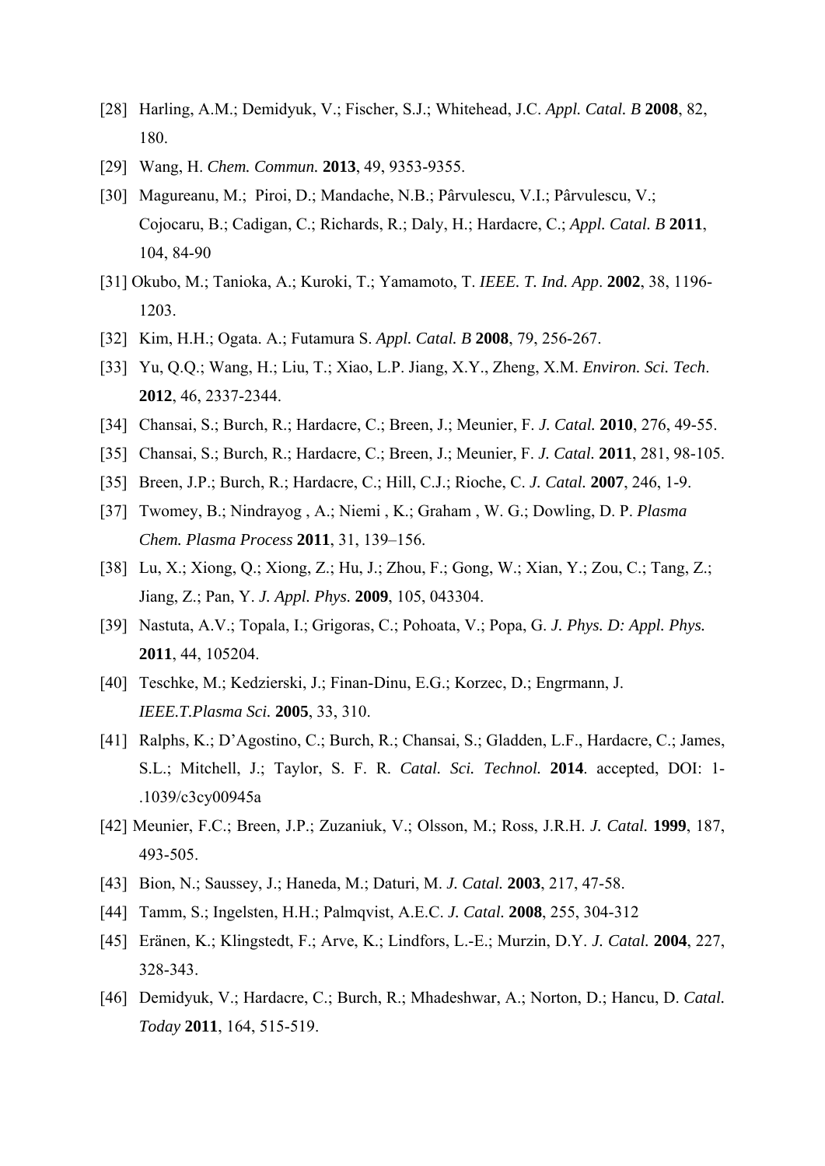- [28] Harling, A.M.; Demidyuk, V.; Fischer, S.J.; Whitehead, J.C. *Appl. Catal. B* **2008**, 82, 180.
- [29] Wang, H. *Chem. Commun.* **2013**, 49, 9353-9355.
- [30] Magureanu, M.; Piroi, D.; Mandache, N.B.; Pârvulescu, V.I.; Pârvulescu, V.; Cojocaru, B.; Cadigan, C.; Richards, R.; Daly, H.; Hardacre, C.; *Appl. Catal. B* **2011**, 104, 84-90
- [31] Okubo, M.; Tanioka, A.; Kuroki, T.; Yamamoto, T. *IEEE. T. Ind. App*. **2002**, 38, 1196- 1203.
- [32] Kim, H.H.; Ogata. A.; Futamura S. *Appl. Catal. B* **2008**, 79, 256-267.
- [33] Yu, Q.Q.; Wang, H.; Liu, T.; Xiao, L.P. Jiang, X.Y., Zheng, X.M. *Environ. Sci. Tech*. **2012**, 46, 2337-2344.
- [34] Chansai, S.; Burch, R.; Hardacre, C.; Breen, J.; Meunier, F. *J. Catal.* **2010**, 276, 49-55.
- [35] Chansai, S.; Burch, R.; Hardacre, C.; Breen, J.; Meunier, F. *J. Catal.* **2011**, 281, 98-105.
- [35] Breen, J.P.; Burch, R.; Hardacre, C.; Hill, C.J.; Rioche, C. *J. Catal.* **2007**, 246, 1-9.
- [37] Twomey, B.; Nindrayog , A.; Niemi , K.; Graham , W. G.; Dowling, D. P. *Plasma Chem. Plasma Process* **2011**, 31, 139–156.
- [38] Lu, X.; Xiong, Q.; Xiong, Z.; Hu, J.; Zhou, F.; Gong, W.; Xian, Y.; Zou, C.; Tang, Z.; Jiang, Z.; Pan, Y. *J. Appl. Phys.* **2009**, 105, 043304.
- [39] Nastuta, A.V.; Topala, I.; Grigoras, C.; Pohoata, V.; Popa, G. *J. Phys. D: Appl. Phys.*  **2011**, 44, 105204.
- [40] Teschke, M.; Kedzierski, J.; Finan-Dinu, E.G.; Korzec, D.; Engrmann, J. *IEEE.T.Plasma Sci.* **2005**, 33, 310.
- [41] Ralphs, K.; D'Agostino, C.; Burch, R.; Chansai, S.; Gladden, L.F., Hardacre, C.; James, S.L.; Mitchell, J.; Taylor, S. F. R. *Catal. Sci. Technol.* **2014**. accepted, DOI: 1- .1039/c3cy00945a
- [42] Meunier, F.C.; Breen, J.P.; Zuzaniuk, V.; Olsson, M.; Ross, J.R.H. *J. Catal.* **1999**, 187, 493-505.
- [43] Bion, N.; Saussey, J.; Haneda, M.; Daturi, M. *J. Catal.* **2003**, 217, 47-58.
- [44] Tamm, S.; Ingelsten, H.H.; Palmqvist, A.E.C. *J. Catal.* **2008**, 255, 304-312
- [45] Eränen, K.; Klingstedt, F.; Arve, K.; Lindfors, L.-E.; Murzin, D.Y. *J. Catal.* **2004**, 227, 328-343.
- [46] Demidyuk, V.; Hardacre, C.; Burch, R.; Mhadeshwar, A.; Norton, D.; Hancu, D. *Catal. Today* **2011**, 164, 515-519.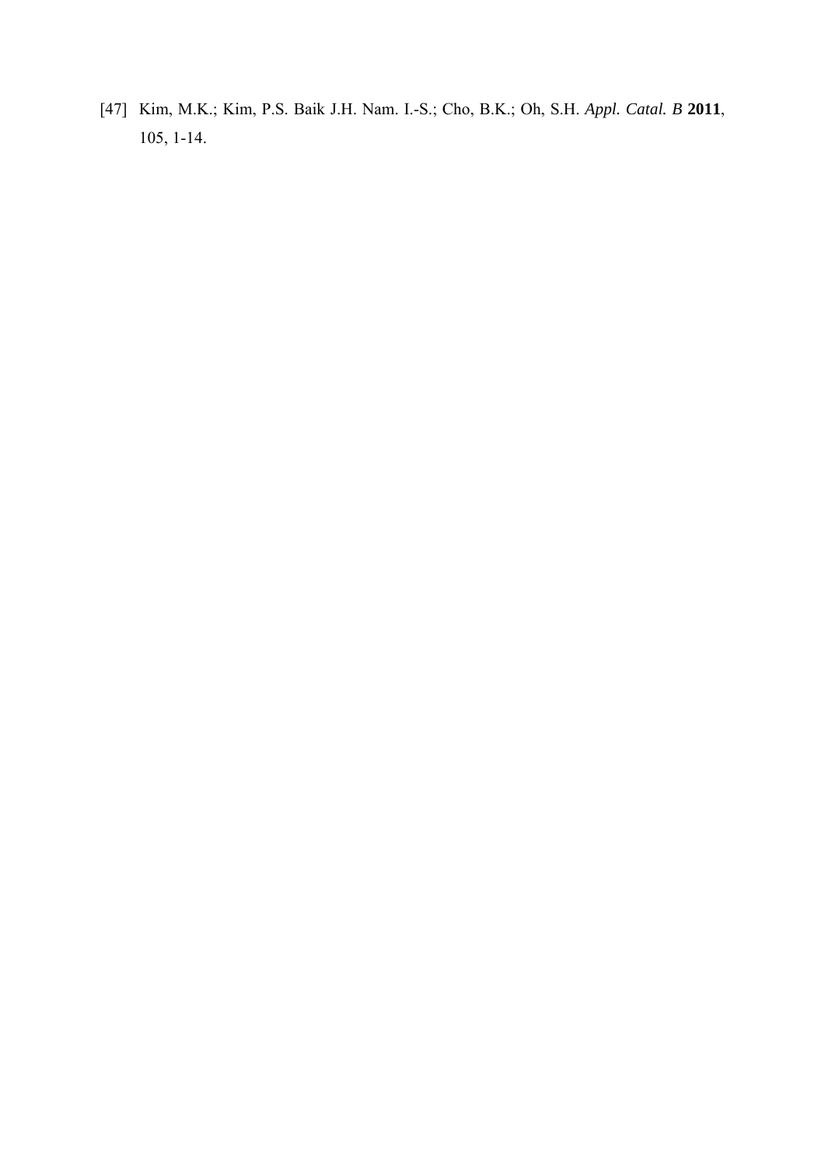[47] Kim, M.K.; Kim, P.S. Baik J.H. Nam. I.-S.; Cho, B.K.; Oh, S.H. *Appl. Catal. B* **2011**, 105, 1-14.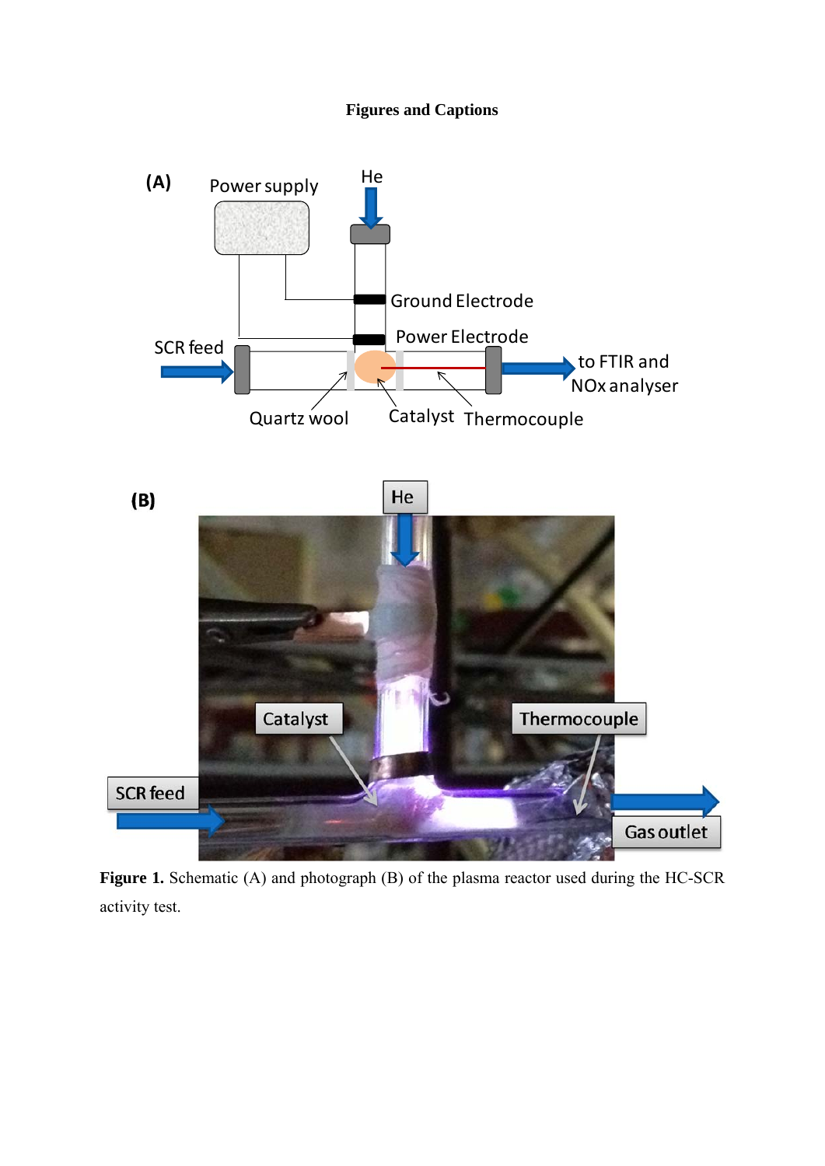## **Figures and Captions**



Figure 1. Schematic (A) and photograph (B) of the plasma reactor used during the HC-SCR activity test.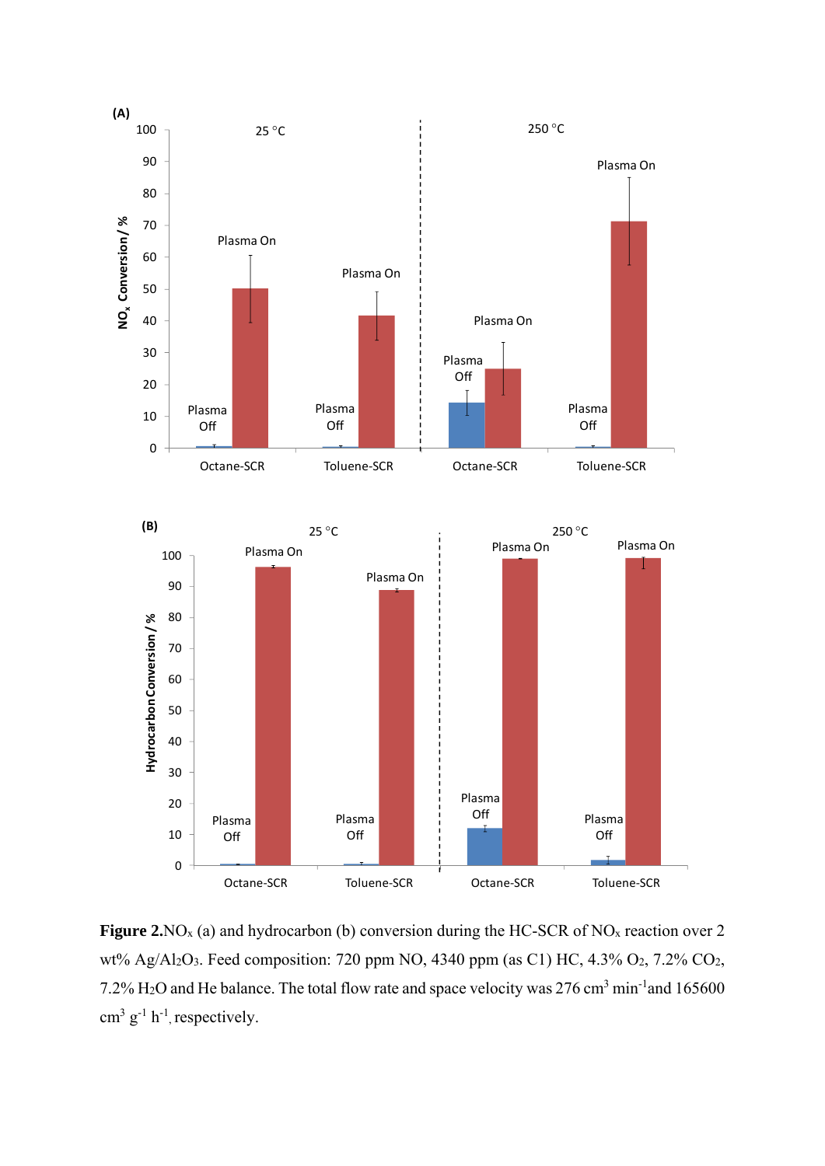

Figure 2.NO<sub>x</sub> (a) and hydrocarbon (b) conversion during the HC-SCR of NO<sub>x</sub> reaction over 2 wt% Ag/Al2O3. Feed composition: 720 ppm NO, 4340 ppm (as C1) HC, 4.3% O2, 7.2% CO2, 7.2% H<sub>2</sub>O and He balance. The total flow rate and space velocity was 276 cm<sup>3</sup> min<sup>-1</sup>and 165600  $\text{cm}^3 \text{ g}^{-1} \text{ h}^{-1}$ , respectively.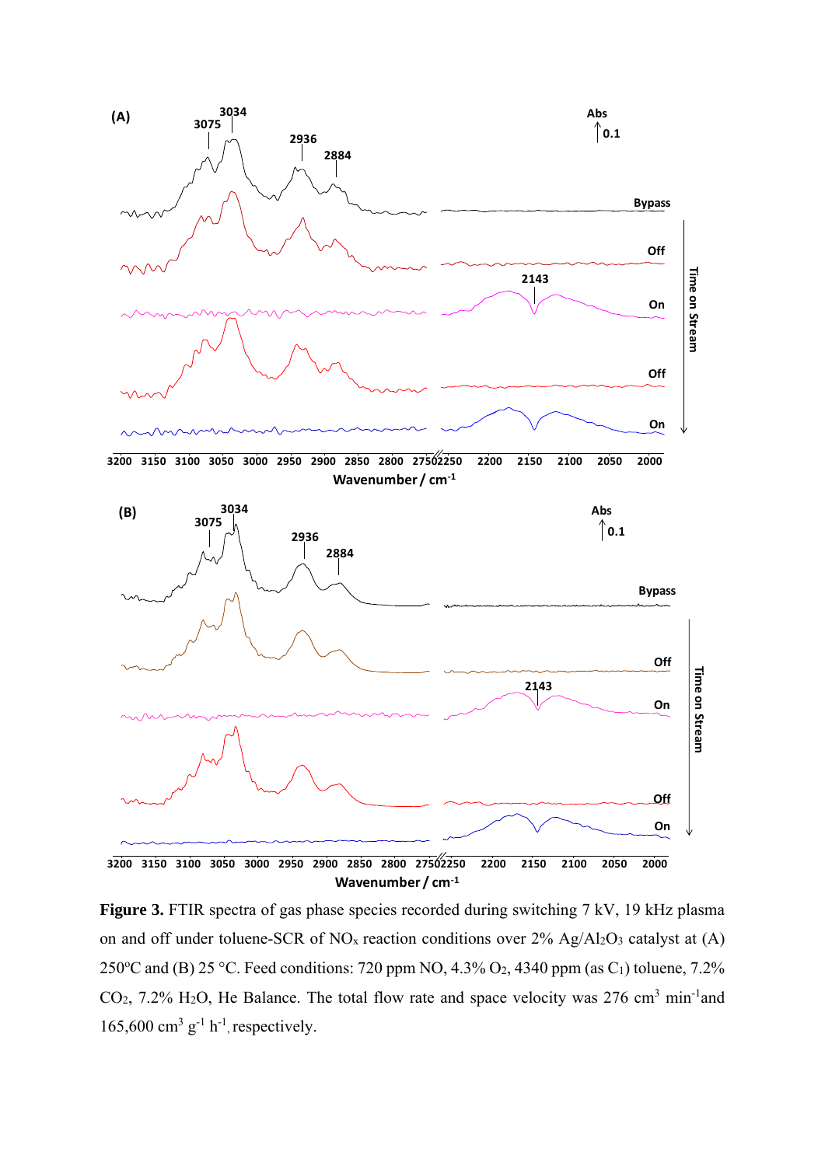

**Figure 3.** FTIR spectra of gas phase species recorded during switching 7 kV, 19 kHz plasma on and off under toluene-SCR of  $NO<sub>x</sub>$  reaction conditions over  $2\%$  Ag/Al<sub>2</sub>O<sub>3</sub> catalyst at (A) 250°C and (B) 25 °C. Feed conditions: 720 ppm NO, 4.3% O<sub>2</sub>, 4340 ppm (as C<sub>1</sub>) toluene, 7.2%  $CO<sub>2</sub>$ , 7.2% H<sub>2</sub>O, He Balance. The total flow rate and space velocity was 276 cm<sup>3</sup> min<sup>-1</sup>and  $165,600$  cm<sup>3</sup> g<sup>-1</sup> h<sup>-1</sup>, respectively.